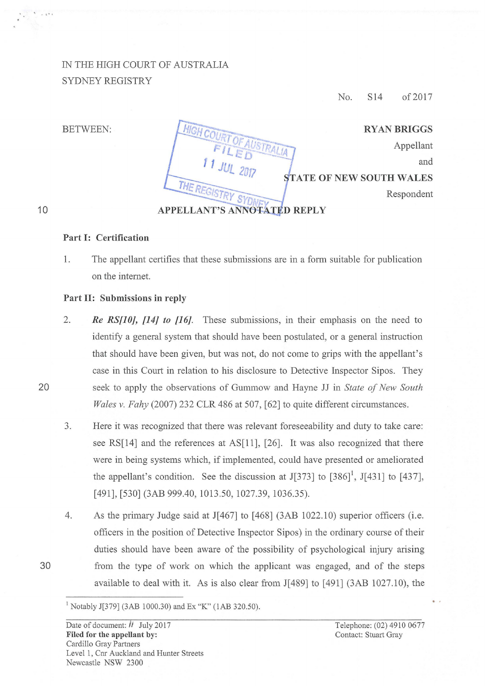## IN THE HIGH COURT OF AUSTRALIA SYDNEY REGISTRY

No. S14 of2017

BETWEEN:

| <b>RYAN BRIGGS</b>              |                             |
|---------------------------------|-----------------------------|
| Appellant                       | HIGH COURT OF AUSTRAL       |
| and                             | $11$ JUL 2017               |
| <b>STATE OF NEW SOUTH WALES</b> |                             |
| Respondent                      | THE REGISTRY SYDNEY         |
|                                 | APPELLANT'S ANNOTATED REPLY |

## 10

... , ..

## Part 1: Certification

1. The appellant certifies that these submissions are in a form suitable for publication on the intemet.

## Part II: Submissions in reply

- 2. *Re RS[10], [14] to [16].* These submissions, in their emphasis on the need to identify a general system that should have been postulated, or a general instruction that should have been given, but was not, do not come to grips with the appellant's case in this Court in relation to his disclosure to Detective Inspector Sipos. They 20 seek to apply the observations of Gummow and Hayne JJ in *State of New South Wales v. Fahy* (2007) 232 CLR 486 at 507, [62] to quite different circumstances.
	- 3. Here it was recognized that there was relevant foreseeability and duty to take care: see RS[14] and the references at AS[11], [26]. It was also recognized that there were in being systems which, if implemented, could have presented or ameliorated the appellant's condition. See the discussion at  $J[373]$  to  $[386]$ <sup>1</sup>,  $J[431]$  to  $[437]$ , [491], [530] (3AB 999.40, 1013.50, 1027.39, 1036.35).
- 4. As the primary Judge said at J[467] to [468] (3AB 1022.10) superior officers (i.e. officers in the position of Detective Inspector Sipos) in the ordinary course of their duties should have been aware of the possibility of psychological injury arising 30 from the type of work on which the applicant was engaged, and of the steps available to deal with it. As is also clear from J[489] to [491] (3AB 1027.10), the
	- 1 Notably J[379] (3AB 1000.30) and Ex "K" (lAB 320.50).

Telephone: (02) 4910 0677 Contact: Stuart Gray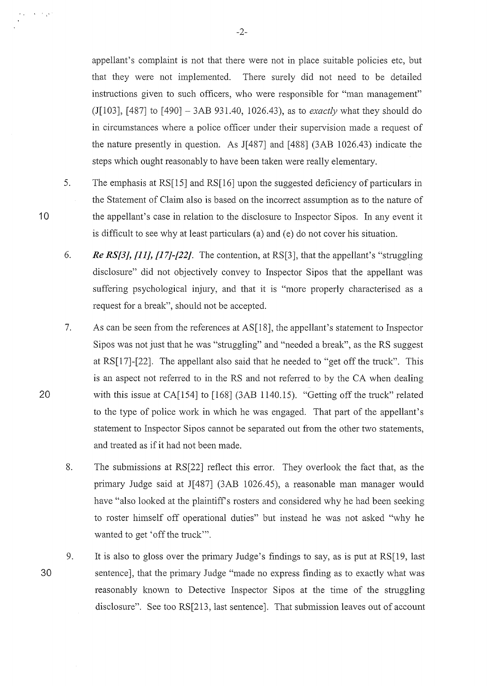appellant's complaint is not that there were not in place suitable policies etc, but that they were not implemented. There surely did not need to be detailed instructions given to such officers, who were responsible for "man management" (J[l03], [487] to [490]- 3AB 931.40, 1026.43), as to *exactly* what they should do in circumstances where a police officer under their supervision made a request of the nature presently in question. As J[487] and [488] (3AB 1026.43) indicate the steps which ought reasonably to have been taken were really elementary.

- 5. The emphasis at RS[15] and RS[16] upon the suggested deficiency of particulars in the Statement of Claim also is based on the incorrect assumption as to the nature of the appellant's case in relation to the disclosure to Inspector Sipos. In any event it is difficult to see why at least particulars (a) and (e) do not cover his situation.
- 6. *Re RS{3], [11], [17]-{22].* The contention, at RS[3], that the appellant's "struggling disclosure" did not objectively convey to Inspector Sipos that the appellant was suffering psychological injury, and that it is "more properly characterised as a request for a break", should not be accepted.
- 7. As can be seen from the references at AS[18], the appellant's statement to Inspector Sipos was not just that he was "struggling" and "needed a break", as the RS suggest at RS[17]-[22]. The appellant also said that he needed to "get off the truck". This is an aspect not refened to in the RS and not referred to by the CA when dealing with this issue at CA $[154]$  to  $[168]$  (3AB 1140.15). "Getting off the truck" related to the type of police work in which he was engaged. That part of the appellant's statement to Inspector Sipos cannot be separated out from the other two statements, and treated as if it had not been made.
- 8. The submissions at RS[22] reflect this error. They overlook the fact that, as the primary Judge said at J[487] (3AB 1026.45), a reasonable man manager would have "also looked at the plaintiff's rosters and considered why he had been seeking to roster himself off operational duties" but instead he was not asked "why he wanted to get 'off the truck'".
- 30 9. It is also to gloss over the primary Judge's findings to say, as is put at RS[19, last sentence], that the primary Judge "made no express finding as to exactly what was reasonably known to Detective Inspector Sipos at the time of the struggling disclosure". See too RS[213, last sentence]. That submission leaves out of account

20

10

 $\mathcal{A}=\mathcal{A}(\mathcal{A})$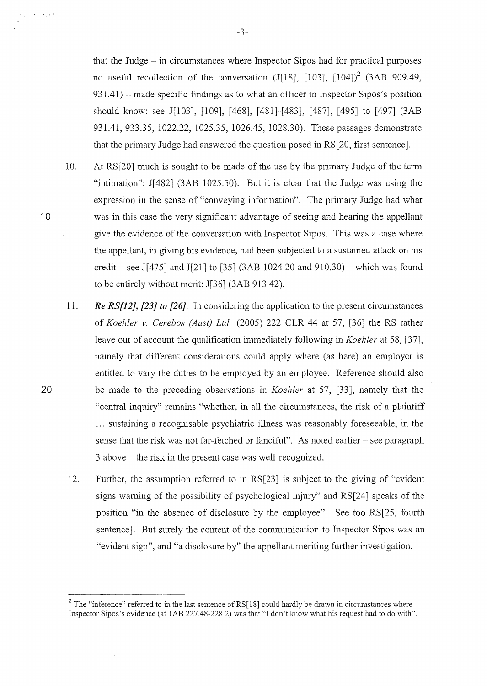that the Judge  $-$  in circumstances where Inspector Sipos had for practical purposes no useful recollection of the conversation (J[18], [103],  $[104]$ <sup>2</sup> (3AB 909.49, 931.41) – made specific findings as to what an officer in Inspector Sipos's position should know: see J[103], [109], [468], [481]-[483], [487], [495] to [497] (3AB 931.41, 933.35, 1022.22, 1025.35, 1026.45, 1028.30). These passages demonstrate that the primary Judge had answered the question posed in RS[20, first sentence].

10. At RS[20] much is sought to be made of the use by the primary Judge of the term "intimation": J[482] (3AB 1025.50). But it is clear that the Judge was using the expression in the sense of "conveying information". The primary Judge had what was in this case the very significant advantage of seeing and hearing the appellant give the evidence of the conversation with Inspector Sipos. This was a case where the appellant, in giving his evidence, had been subjected to a sustained attack on his credit – see J[475] and J[21] to [35] (3AB 1024.20 and 910.30) – which was found to be entirely without merit: J[36] (3AB 913.42).

10

 $\mathbf{A}=\mathbf{A}_2\mathbf{A}^T$ 

20

- 11. *Re RS[J2], [23] to [26].* In considering the application to the present circumstances of *Koehler v. Cerebos (Aust) Ltd* (2005) 222 CLR 44 at 57, [36] the RS rather leave out of account the qualification immediately following in *Koehler* at 58, [37], namely that different considerations could apply where (as here) an employer is entitled to vary the duties to be employed by an employee. Reference should also be made to the preceding observations in *Koehler* at 57, [33], namely that the "central inquiry" remains "whether, in all the circumstances, the risk of a plaintiff ... sustaining a recognisable psychiatric illness was reasonably foreseeable, in the sense that the risk was not far-fetched or fanciful". As noted earlier  $-$  see paragraph 3 above- the risk in the present case was well-recognized.
- 12. Further, the assumption referred to in RS[23] is subject to the giving of "evident signs warning of the possibility of psychological injury" and RS[24] speaks of the position "in the absence of disclosure by the employee". See too RS[25, fourth sentence]. But surely the content of the communication to Inspector Sipos was an "evident sign", and "a disclosure by" the appellant meriting further investigation.

 $2$  The "inference" referred to in the last sentence of RS[18] could hardly be drawn in circumstances where Inspector Sipos's evidence (at lAB 227.48-228.2) was that "I don't know what his request had to do with".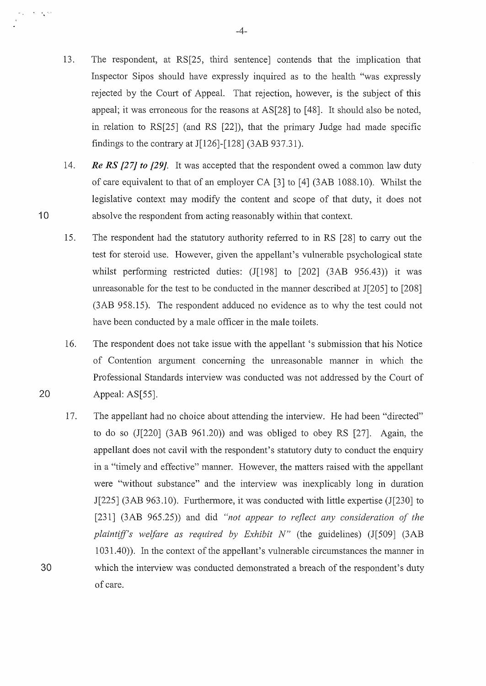- 13. The respondent, at RS[25, third sentence] contends that the implication that Inspector Sipos should have expressly inquired as to the health "was expressly rejected by the Court of Appeal. That rejection, however, is the subject of this appeal; it was erroneous for the reasons at  $AS[28]$  to [48]. It should also be noted, in relation to RS[25] (and RS [22]), that the primary Judge had made specific findings to the contrary at  $J[126]$ -[128] (3AB 937.31).
- 14. *Re RS [27] to [29].* It was accepted that the respondent owed a common law duty of care equivalent to that of an employer CA [3] to [4] (3AB 1088.10). Whilst the legislative context may modify the content and scope of that duty, it does not absolve the respondent from acting reasonably within that context.
- 15. The respondent had the statutory authority referred to in RS [28] to cany out the test for steroid use. However, given the appellant's vulnerable psychological state whilst performing restricted duties:  $(J[198]$  to  $[202]$   $(3AB 956.43)$  it was umeasonable for the test to be conducted in the manner described at J[205] to [208] (3AB 958.15). The respondent adduced no evidence as to why the test could not have been conducted by a male officer in the male toilets.

16. The respondent does not take issue with the appellant 's submission that his Notice of Contention argument concerning the umeasonable manner in which the Professional Standards interview was conducted was not addressed by the Court of Appeal: AS[55].

17. The appellant had no choice about attending the interview. He had been "directed" to do so (J[220] (3AB 961.20)) and was obliged to obey RS [27]. Again, the appellant does not cavil with the respondent's statutory duty to conduct the enquiry in a "timely and effective" manner. However, the matters raised with the appellant were "without substance" and the interview was inexplicably long in duration J[225] (3AB 963.1 0). Furthermore, it was conducted with little expertise (J[230] to [231] (3AB 965.25)) and did *"not appear to reflect any consideration of the plaintiff's welfare as required by Exhibit N"* (the guidelines) (J[509] (3AB 1 031.40)). In the context of the appellant's vulnerable circumstances the manner in 30 which the interview was conducted demonstrated a breach of the respondent's duty of care.

10

 $\mathbf{v}=\mathbf{v}_\mathbf{k}^{-\frac{1}{2}q}$ 

20